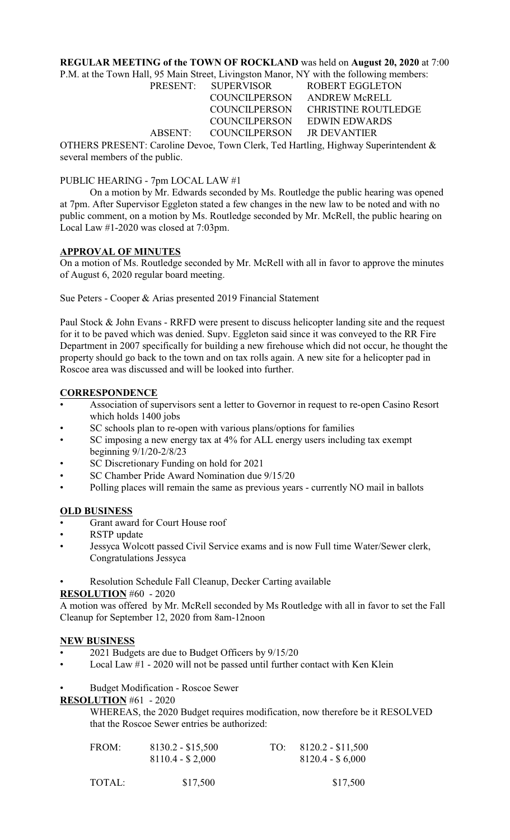## **REGULAR MEETING of the TOWN OF ROCKLAND** was held on **August 20, 2020** at 7:00

P.M. at the Town Hall, 95 Main Street, Livingston Manor, NY with the following members:

| <b>PRESENT:</b> | <b>SUPERVISOR</b>    | <b>ROBERT EGGLETON</b>   |
|-----------------|----------------------|--------------------------|
|                 | <b>COUNCILPERSON</b> | ANDREW McRELL            |
|                 | <b>COUNCILPERSON</b> | <b>CHRISTINE ROUTLEI</b> |
|                 | <b>COUNCILPERSON</b> | EDWIN EDWARDS            |
| ABSENT:         | <b>COUNCILPERSON</b> | <b>JR DEVANTIER</b>      |

CHRISTINE ROUTLEDGE EDWIN EDWARDS

OTHERS PRESENT: Caroline Devoe, Town Clerk, Ted Hartling, Highway Superintendent & several members of the public.

### PUBLIC HEARING - 7pm LOCAL LAW #1

On a motion by Mr. Edwards seconded by Ms. Routledge the public hearing was opened at 7pm. After Supervisor Eggleton stated a few changes in the new law to be noted and with no public comment, on a motion by Ms. Routledge seconded by Mr. McRell, the public hearing on Local Law #1-2020 was closed at 7:03pm.

### **APPROVAL OF MINUTES**

On a motion of Ms. Routledge seconded by Mr. McRell with all in favor to approve the minutes of August 6, 2020 regular board meeting.

Sue Peters - Cooper & Arias presented 2019 Financial Statement

Paul Stock & John Evans - RRFD were present to discuss helicopter landing site and the request for it to be paved which was denied. Supv. Eggleton said since it was conveyed to the RR Fire Department in 2007 specifically for building a new firehouse which did not occur, he thought the property should go back to the town and on tax rolls again. A new site for a helicopter pad in Roscoe area was discussed and will be looked into further.

## **CORRESPONDENCE**

- Association of supervisors sent a letter to Governor in request to re-open Casino Resort which holds 1400 jobs
- SC schools plan to re-open with various plans/options for families
- SC imposing a new energy tax at 4% for ALL energy users including tax exempt beginning 9/1/20-2/8/23
- SC Discretionary Funding on hold for 2021
- SC Chamber Pride Award Nomination due 9/15/20
- Polling places will remain the same as previous years currently NO mail in ballots

## **OLD BUSINESS**

- Grant award for Court House roof
- RSTP update
- Jessyca Wolcott passed Civil Service exams and is now Full time Water/Sewer clerk, Congratulations Jessyca
- Resolution Schedule Fall Cleanup, Decker Carting available

### **RESOLUTION** #60 - 2020

A motion was offered by Mr. McRell seconded by Ms Routledge with all in favor to set the Fall Cleanup for September 12, 2020 from 8am-12noon

### **NEW BUSINESS**

- 2021 Budgets are due to Budget Officers by 9/15/20
- Local Law #1 2020 will not be passed until further contact with Ken Klein
- Budget Modification Roscoe Sewer

**RESOLUTION** #61 - 2020

WHEREAS, the 2020 Budget requires modification, now therefore be it RESOLVED that the Roscoe Sewer entries be authorized:

| FROM: | $8130.2 - $15,500$ | TO: $8120.2 - $11,500$ |
|-------|--------------------|------------------------|
|       | $8110.4 - $2,000$  | $8120.4 - $6,000$      |
|       |                    |                        |

| TOTAL: | \$17,500 | \$17,500 |
|--------|----------|----------|
|        |          |          |